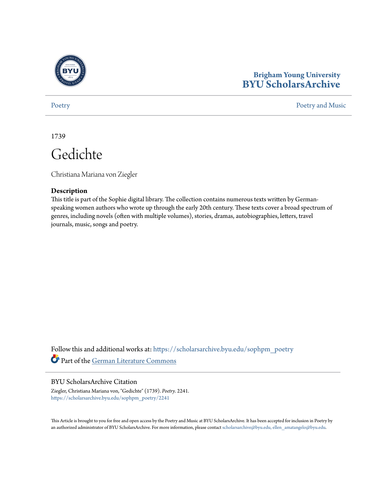

# **Brigham Young University [BYU ScholarsArchive](https://scholarsarchive.byu.edu?utm_source=scholarsarchive.byu.edu%2Fsophpm_poetry%2F2241&utm_medium=PDF&utm_campaign=PDFCoverPages)**

[Poetry](https://scholarsarchive.byu.edu/sophpm_poetry?utm_source=scholarsarchive.byu.edu%2Fsophpm_poetry%2F2241&utm_medium=PDF&utm_campaign=PDFCoverPages) and Music [Poetry and Music](https://scholarsarchive.byu.edu/sophpm?utm_source=scholarsarchive.byu.edu%2Fsophpm_poetry%2F2241&utm_medium=PDF&utm_campaign=PDFCoverPages) Poetry and Music Poetry and Music Poetry and Music Poetry and Music Poetry and Music Poetry and Music Poetry and Music Poetry and Music Poetry and Music Poetry and Music Poetry and Music P

1739

Gedichte

Christiana Mariana von Ziegler

## **Description**

This title is part of the Sophie digital library. The collection contains numerous texts written by Germanspeaking women authors who wrote up through the early 20th century. These texts cover a broad spectrum of genres, including novels (often with multiple volumes), stories, dramas, autobiographies, letters, travel journals, music, songs and poetry.

Follow this and additional works at: [https://scholarsarchive.byu.edu/sophpm\\_poetry](https://scholarsarchive.byu.edu/sophpm_poetry?utm_source=scholarsarchive.byu.edu%2Fsophpm_poetry%2F2241&utm_medium=PDF&utm_campaign=PDFCoverPages) Part of the [German Literature Commons](http://network.bepress.com/hgg/discipline/469?utm_source=scholarsarchive.byu.edu%2Fsophpm_poetry%2F2241&utm_medium=PDF&utm_campaign=PDFCoverPages)

### BYU ScholarsArchive Citation

Ziegler, Christiana Mariana von, "Gedichte" (1739). *Poetry*. 2241. [https://scholarsarchive.byu.edu/sophpm\\_poetry/2241](https://scholarsarchive.byu.edu/sophpm_poetry/2241?utm_source=scholarsarchive.byu.edu%2Fsophpm_poetry%2F2241&utm_medium=PDF&utm_campaign=PDFCoverPages)

This Article is brought to you for free and open access by the Poetry and Music at BYU ScholarsArchive. It has been accepted for inclusion in Poetry by an authorized administrator of BYU ScholarsArchive. For more information, please contact [scholarsarchive@byu.edu, ellen\\_amatangelo@byu.edu](mailto:scholarsarchive@byu.edu,%20ellen_amatangelo@byu.edu).